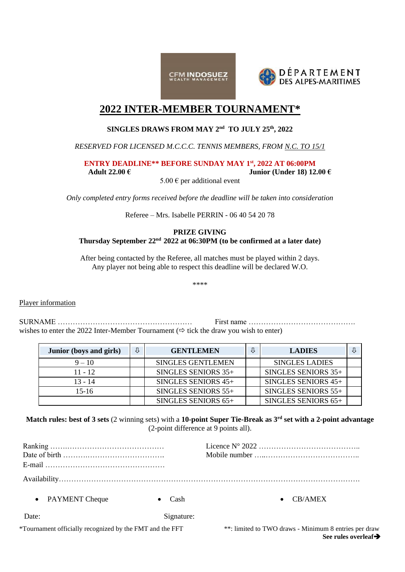



# **2022 INTER-MEMBER TOURNAMENT\***

# **SINGLES DRAWS FROM MAY 2 nd TO JULY 25th, 2022**

*RESERVED FOR LICENSED M.C.C.C. TENNIS MEMBERS, FROM N.C. TO 15/1*

**ENTRY DEADLINE\*\* BEFORE SUNDAY MAY 1 st, 2022 AT 06:00PM**

**Adult 22.00 € Junior (Under 18) 12.00 €**

 $5.00 \text{ } \in$  per additional event

*Only completed entry forms received before the deadline will be taken into consideration*

Referee – Mrs. Isabelle PERRIN - 06 40 54 20 78

# **PRIZE GIVING Thursday September 22 nd 2022 at 06:30PM (to be confirmed at a later date)**

After being contacted by the Referee, all matches must be played within 2 days. Any player not being able to respect this deadline will be declared W.O.

\*\*\*\*

Player information

SURNAME ……………………………………………… First name ……………………………………. wishes to enter the 2022 Inter-Member Tournament  $(\Rightarrow$  tick the draw you wish to enter)

| <b>Junior</b> (boys and girls) | ⇩ | <b>GENTLEMEN</b>         | 亇 | <b>LADIES</b>         |  |
|--------------------------------|---|--------------------------|---|-----------------------|--|
| $9 - 10$                       |   | <b>SINGLES GENTLEMEN</b> |   | <b>SINGLES LADIES</b> |  |
| $11 - 12$                      |   | SINGLES SENIORS $35+$    |   | SINGLES SENIORS $35+$ |  |
| $13 - 14$                      |   | SINGLES SENIORS 45+      |   | SINGLES SENIORS 45+   |  |
| 15-16                          |   | SINGLES SENIORS $55+$    |   | SINGLES SENIORS 55+   |  |
|                                |   | SINGLES SENIORS 65+      |   | SINGLES SENIORS 65+   |  |

**Match rules: best of 3 sets** (2 winning sets) with a **10-point Super Tie-Break as 3rd set with a 2-point advantage** (2-point difference at 9 points all).

|                                                          |            | Licence $N^{\circ} 2022 \dots \dots \dots \dots \dots \dots \dots \dots \dots \dots \dots \dots$ |  |  |
|----------------------------------------------------------|------------|--------------------------------------------------------------------------------------------------|--|--|
|                                                          |            |                                                                                                  |  |  |
| • PAYMENT Cheque                                         | Cash       | CB/AMEX<br>$\bullet$                                                                             |  |  |
| Date:                                                    | Signature: |                                                                                                  |  |  |
| *Tournament officially recognized by the FMT and the FFT |            | **: limited to TWO draws - Minimum 8 entries per draw<br>See rules overleaf                      |  |  |